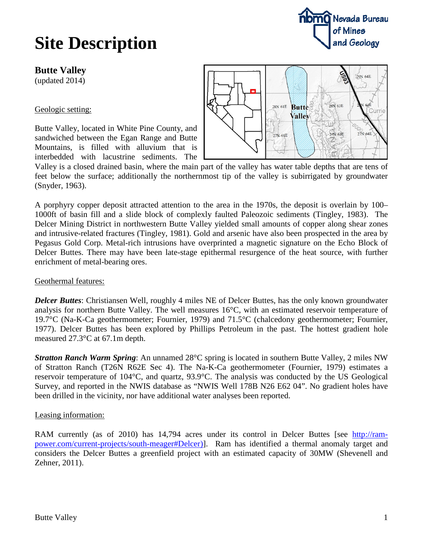# **Site Description**

## **Butte Valley**

(updated 2014)

### Geologic setting:

Butte Valley, located in White Pine County, and sandwiched between the Egan Range and Butte Mountains, is filled with alluvium that is interbedded with lacustrine sediments. The



Valley is a closed drained basin, where the main part of the valley has water table depths that are tens of feet below the surface; additionally the northernmost tip of the valley is subirrigated by groundwater (Snyder, 1963).

A porphyry copper deposit attracted attention to the area in the 1970s, the deposit is overlain by 100– 1000ft of basin fill and a slide block of complexly faulted Paleozoic sediments (Tingley, 1983). The Delcer Mining District in northwestern Butte Valley yielded small amounts of copper along shear zones and intrusive-related fractures (Tingley, 1981). Gold and arsenic have also been prospected in the area by Pegasus Gold Corp. Metal-rich intrusions have overprinted a magnetic signature on the Echo Block of Delcer Buttes. There may have been late-stage epithermal resurgence of the heat source, with further enrichment of metal-bearing ores.

#### Geothermal features:

*Delcer Buttes*: Christiansen Well, roughly 4 miles NE of Delcer Buttes, has the only known groundwater analysis for northern Butte Valley. The well measures 16°C, with an estimated reservoir temperature of 19.7°C (Na-K-Ca geothermometer; Fournier, 1979) and 71.5°C (chalcedony geothermometer; Fournier, 1977). Delcer Buttes has been explored by Phillips Petroleum in the past. The hottest gradient hole measured 27.3°C at 67.1m depth.

*Stratton Ranch Warm Spring*: An unnamed 28°C spring is located in southern Butte Valley, 2 miles NW of Stratton Ranch (T26N R62E Sec 4). The Na-K-Ca geothermometer (Fournier, 1979) estimates a reservoir temperature of 104°C, and quartz, 93.9°C. The analysis was conducted by the US Geological Survey, and reported in the NWIS database as "NWIS Well 178B N26 E62 04". No gradient holes have been drilled in the vicinity, nor have additional water analyses been reported.

### Leasing information:

RAM currently (as of 2010) has 14,794 acres under its control in Delcer Buttes [see [http://ram](http://ram-power.com/current-projects/south-meager%23Delcer))[power.com/current-projects/south-meager#Delcer\)\]](http://ram-power.com/current-projects/south-meager%23Delcer)). Ram has identified a thermal anomaly target and considers the Delcer Buttes a greenfield project with an estimated capacity of 30MW (Shevenell and Zehner, 2011).